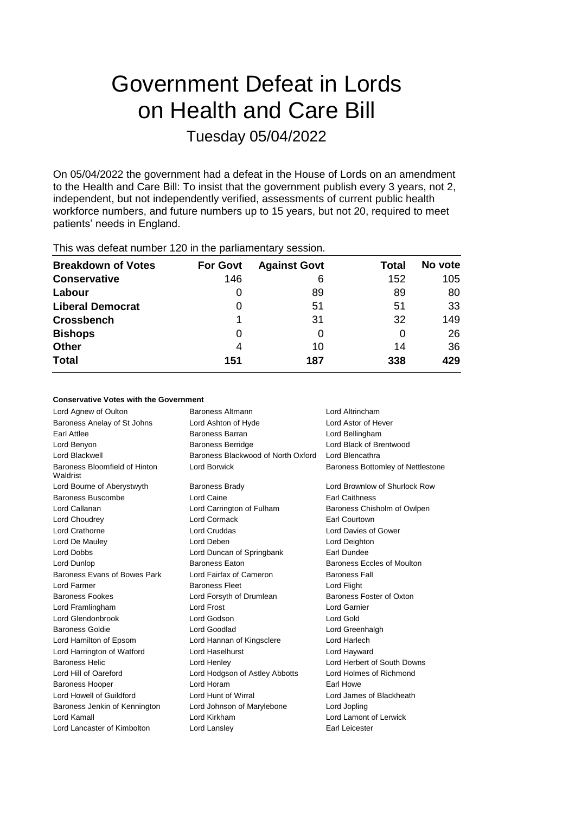# Government Defeat in Lords on Health and Care Bill Tuesday 05/04/2022

On 05/04/2022 the government had a defeat in the House of Lords on an amendment to the Health and Care Bill: To insist that the government publish every 3 years, not 2, independent, but not independently verified, assessments of current public health workforce numbers, and future numbers up to 15 years, but not 20, required to meet patients' needs in England.

| <b>Breakdown of Votes</b> | <b>For Govt</b> | <b>Against Govt</b> | Total | No vote |
|---------------------------|-----------------|---------------------|-------|---------|
| <b>Conservative</b>       | 146             | 6                   | 152   | 105     |
| Labour                    | 0               | 89                  | 89    | 80      |
| <b>Liberal Democrat</b>   | O               | 51                  | 51    | 33      |
| <b>Crossbench</b>         |                 | 31                  | 32    | 149     |
| <b>Bishops</b>            | 0               | 0                   | 0     | 26      |
| <b>Other</b>              | 4               | 10                  | 14    | 36      |
| <b>Total</b>              | 151             | 187                 | 338   | 429     |
|                           |                 |                     |       |         |

This was defeat number 120 in the parliamentary session.

#### **Conservative Votes with the Government**

| Lord Agnew of Oulton                      | <b>Baroness Altmann</b>            | Lord Altrincham                   |
|-------------------------------------------|------------------------------------|-----------------------------------|
| Baroness Anelay of St Johns               | Lord Ashton of Hyde                | Lord Astor of Hever               |
| Earl Attlee                               | Baroness Barran                    | Lord Bellingham                   |
| Lord Benyon                               | <b>Baroness Berridge</b>           | Lord Black of Brentwood           |
| Lord Blackwell                            | Baroness Blackwood of North Oxford | Lord Blencathra                   |
| Baroness Bloomfield of Hinton<br>Waldrist | <b>Lord Borwick</b>                | Baroness Bottomley of Nettlestone |
| Lord Bourne of Aberystwyth                | <b>Baroness Brady</b>              | Lord Brownlow of Shurlock Row     |
| <b>Baroness Buscombe</b>                  | Lord Caine                         | <b>Earl Caithness</b>             |
| Lord Callanan                             | Lord Carrington of Fulham          | Baroness Chisholm of Owlpen       |
| Lord Choudrey                             | Lord Cormack                       | Earl Courtown                     |
| Lord Crathorne                            | <b>Lord Cruddas</b>                | Lord Davies of Gower              |
| Lord De Mauley                            | Lord Deben                         | Lord Deighton                     |
| Lord Dobbs                                | Lord Duncan of Springbank          | Earl Dundee                       |
| Lord Dunlop                               | Baroness Eaton                     | Baroness Eccles of Moulton        |
| Baroness Evans of Bowes Park              | Lord Fairfax of Cameron            | <b>Baroness Fall</b>              |
| Lord Farmer                               | <b>Baroness Fleet</b>              | Lord Flight                       |
| <b>Baroness Fookes</b>                    | Lord Forsyth of Drumlean           | Baroness Foster of Oxton          |
| Lord Framlingham                          | <b>Lord Frost</b>                  | <b>Lord Garnier</b>               |
| Lord Glendonbrook                         | Lord Godson                        | Lord Gold                         |
| <b>Baroness Goldie</b>                    | Lord Goodlad                       | Lord Greenhalgh                   |
| Lord Hamilton of Epsom                    | Lord Hannan of Kingsclere          | Lord Harlech                      |
| Lord Harrington of Watford                | Lord Haselhurst                    | Lord Hayward                      |
| <b>Baroness Helic</b>                     | Lord Henley                        | Lord Herbert of South Downs       |
| Lord Hill of Oareford                     | Lord Hodgson of Astley Abbotts     | Lord Holmes of Richmond           |
| <b>Baroness Hooper</b>                    | Lord Horam                         | Earl Howe                         |
| Lord Howell of Guildford                  | Lord Hunt of Wirral                | Lord James of Blackheath          |
| Baroness Jenkin of Kennington             | Lord Johnson of Marylebone         | Lord Jopling                      |
| Lord Kamall                               | Lord Kirkham                       | Lord Lamont of Lerwick            |
| Lord Lancaster of Kimbolton               | Lord Lansley                       | Earl Leicester                    |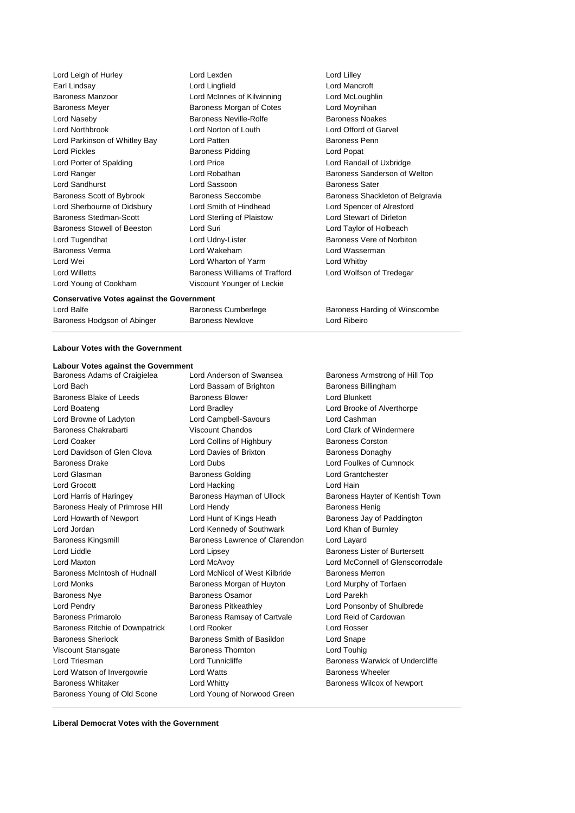| Lord Leigh of Hurley          | Lord Lexden                   | Lord Lilley         |
|-------------------------------|-------------------------------|---------------------|
| Earl Lindsay                  | Lord Lingfield                | Lord Mancro         |
| <b>Baroness Manzoor</b>       | Lord McInnes of Kilwinning    | Lord McLoug         |
| <b>Baroness Meyer</b>         | Baroness Morgan of Cotes      | Lord Moynih         |
| Lord Naseby                   | <b>Baroness Neville-Rolfe</b> | <b>Baroness No</b>  |
| <b>Lord Northbrook</b>        | Lord Norton of Louth          | Lord Offord         |
| Lord Parkinson of Whitley Bay | Lord Patten                   | <b>Baroness Pe</b>  |
| <b>Lord Pickles</b>           | <b>Baroness Pidding</b>       | Lord Popat          |
| Lord Porter of Spalding       | Lord Price                    | Lord Randall        |
| Lord Ranger                   | Lord Robathan                 | <b>Baroness Sa</b>  |
| <b>Lord Sandhurst</b>         | Lord Sassoon                  | <b>Baroness Sa</b>  |
| Baroness Scott of Bybrook     | <b>Baroness Seccombe</b>      | <b>Baroness Sh</b>  |
| Lord Sherbourne of Didsbury   | Lord Smith of Hindhead        | Lord Spence         |
| <b>Baroness Stedman-Scott</b> | Lord Sterling of Plaistow     | <b>Lord Stewart</b> |
| Baroness Stowell of Beeston   | Lord Suri                     | Lord Taylor o       |
| Lord Tugendhat                | Lord Udny-Lister              | <b>Baroness Ve</b>  |
| <b>Baroness Verma</b>         | Lord Wakeham                  | Lord Wasser         |
| Lord Wei                      | Lord Wharton of Yarm          | Lord Whitby         |
| <b>Lord Willetts</b>          | Baroness Williams of Trafford | Lord Wolfsor        |
| Lord Young of Cookham         | Viscount Younger of Leckie    |                     |
|                               |                               |                     |

**Conservative Votes against the Government**

Baroness Hodgson of Abinger Baroness Newlove Lord Ribeiro

**Labour Votes with the Government**

### **Labour Votes against the Government**

Lord Bach **Lord Bassam of Brighton** Baroness Billingham Baroness Blake of Leeds Baroness Blower Correct Lord Blunkett Lord Boateng Lord Bradley Lord Brooke of Alverthorpe Lord Browne of Ladyton Lord Campbell-Savours Lord Cashman Baroness Chakrabarti **Viscount Chandos Lord Clark of Windermere** Lord Coaker Lord Collins of Highbury Baroness Corston Lord Davidson of Glen Clova Lord Davies of Brixton Baroness Donaghy Baroness Drake Lord Dubs Lord Foulkes of Cumnock Lord Glasman Baroness Golding Lord Grantchester Lord Grocott **Lord Hacking** Lord Hacking **Lord Hain** Lord Harris of Haringey **Baroness Hayman of Ullock** Baroness Hayter of Kentish Town Baroness Healy of Primrose Hill Lord Hendy **Baroness Henig** Baroness Henig Lord Howarth of Newport Lord Hunt of Kings Heath Baroness Jay of Paddington Lord Jordan Lord Kennedy of Southwark Lord Khan of Burnley Baroness Kingsmill **Baroness Lawrence of Clarendon** Lord Layard Lord Liddle Lord Lipsey Baroness Lister of Burtersett Lord Maxton Lord McAvoy Lord McConnell of Glenscorrodale Baroness McIntosh of Hudnall Lord McNicol of West Kilbride Baroness Merron Lord Monks Baroness Morgan of Huyton Lord Murphy of Torfaen Baroness Nye **Baroness Osamor** Baroness Osamor **Lord Parekh** Lord Pendry Baroness Pitkeathley Lord Ponsonby of Shulbrede Baroness Primarolo Baroness Ramsay of Cartvale Lord Reid of Cardowan Baroness Ritchie of Downpatrick Lord Rooker Lord Rosser Baroness Sherlock Baroness Smith of Basildon Lord Snape Viscount Stansgate **Baroness Thornton** Controller Lord Touhig Lord Triesman **Lord Tunnicliffe** Baroness Warwick of Undercliffe Lord Watson of Invergowrie **Lord Watts Baroness Wheeler** Baroness Wheeler Baroness Whitaker **Lord Whitty Lord Whitty** Baroness Wilcox of Newport Baroness Young of Old Scone Lord Young of Norwood Green

Lord Lilley Lord Mancroft Lord McLoughlin Lord Moynihan Baroness Noakes Lord Offord of Garvel Baroness Penn Lord Popat Lord Randall of Uxbridge Baroness Sanderson of Welton Baroness Sater Baroness Shackleton of Belgravia Lord Spencer of Alresford Lord Stewart of Dirleton Lord Taylor of Holbeach Baroness Vere of Norbiton Lord Wasserman Lord Wolfson of Tredegar

Lord Balfe **Baroness Cumberlege** Baroness Harding of Winscombe

Baroness Armstrong of Hill Top

**Liberal Democrat Votes with the Government**